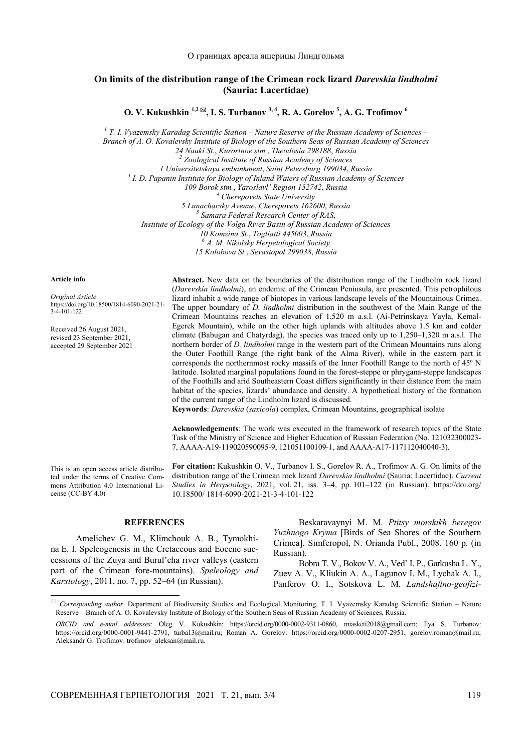## **On limits of the distribution range of the Crimean rock lizard** *Darevskia lindholmi* **(Sauria: Lacertidae)**

**O. V. Kukushkin <sup>1,2</sup> ⊠, I. S. Turbanov <sup>3, 4</sup>, R. A. Gorelov <sup>5</sup>, A. G. Trofimov <sup>6</sup>** 

<sup>1</sup> T. I. Vyazemsky Karadag Scientific Station – Nature Reserve of the Russian Academy of Sciences –

*Branch of A. O. Kovalevsky Institute of Biology of the Southern Seas of Russian Academy of Sciences* 

*24 Nauki St.*, *Kurortnoe stm.*, *Theodosia 298188*, *Russia 2*

 *Zoological Institute of Russian Academy of Sciences* 

*1 Universitetskaya embankment*, *Saint Petersburg 199034*, *Russia 3*

<sup>3</sup> I. D. Papanin Institute for Biology of Inland Waters of Russian Academy of Sciences

*109 Borok stm.*, *Yaroslavl' Region 152742*, *Russia 4*

 *Cherepovets State University* 

*5 Lunacharsky Avenue*, *Cherepovets 162600*, *Russia 5*

 *Samara Federal Research Center of RAS*,

*Institute of Ecology of the Volga River Basin of Russian Academy of Sciences* 

*10 Komzina St*., *Togliatti 445003*, *Russia 6 <sup>А</sup>. M. Nikolsky Herpetological Society* 

*15 Kolobova St.*, *Sevastopol 299038*, *Russia* 

## **Article info**

 $\overline{a}$ 

*Original Article* https://doi.org/10.18500/1814-6090-2021-21-  $3-4-101-122$ 

Received 26 August 2021, revised 23 September 2021, accepted 29 September 2021

**Abstract.** New data on the boundaries of the distribution range of the Lindholm rock lizard (*Darevskia lindholmi*), an endemic of the Crimean Peninsula, are presented. This petrophilous lizard inhabit a wide range of biotopes in various landscape levels of the Mountainous Crimea. The upper boundary of *D. lindholmi* distribution in the southwest of the Main Range of the Crimean Mountains reaches an elevation of 1,520 m a.s.l. (Ai-Petrinskaya Yayla, Kemal-Egerek Mountain), while on the other high uplands with altitudes above 1.5 km and colder climate (Babugan and Chatyrdag), the species was traced only up to 1,250–1,320 m a.s.l. The northern border of *D. lindholmi* range in the western part of the Crimean Mountains runs along the Outer Foothill Range (the right bank of the Alma River), while in the eastern part it corresponds the northernmost rocky massifs of the Inner Foothill Range to the north of 45º N latitude. Isolated marginal populations found in the forest-steppe or phrygana-steppe landscapes of the Foothills and arid Southeastern Coast differs significantly in their distance from the main habitat of the species, lizards' abundance and density. A hypothetical history of the formation of the current range of the Lindholm lizard is discussed.

**Keywords**: *Darevskia* (*saxicola*) complex, Crimean Mountains, geographical isolate

**Acknowledgements**: The work was executed in the framework of research topics of the State Task of the Ministry of Science and Higher Education of Russian Federation (No. 121032300023- 7, АААА-А19-119020590095-9, 121051100109-1, and AAAA-A17-117112040040-3).

This is an open access article distributed under the terms of Creative Commons Attribution 4.0 International License (CC-BY 4.0)

**For citation:** Kukushkin O. V., Turbanov I. S., Gorelov R. A., Trofimov A. G. On limits of the distribution range of the Crimean rock lizard *Darevskia lindholmi* (Sauria: Lacertidae). *Current Studies in Herpetology*, 2021, vol. 21, iss. 3–4, pp. 101–122 (in Russian). https://doi.org/ 10.18500/ 1814-6090-2021-21-3-4-101-122

## **REFERENCES**

Amelichev G. M., Klimchouk A. B., Tymokhina Е. І. Speleogenesis in the Cretaceous and Eocene successions of the Zuya and Burul'cha river valleys (eastern part of the Crimean fore-mountains). *Speleology and Karstology*, 2011, no. 7, pp. 52–64 (in Russian).

Beskaravaynyi M. M. *Ptitsy morskikh beregov Yuzhnogo Kryma* [Birds of Sea Shores of the Southern Crimea]. Simferopol, N. Orianda Publ., 2008. 160 p. (in Russian).

Bobra T. V., Bokov V. A., Ved' I. P., Garkusha L. Y., Zuev A. V., Kliukin A. A., Lagunov I. M., Lychak A. I., Panferov O. I., Sotskova L. M. *Landshaftno-geofizi-*

 *Corresponding author*. Department of Biodiversity Studies and Ecological Monitoring, T. I. Vyazemsky Karadag Scientific Station – Nature Reserve – Branch of A. O. Kovalevsky Institute of Biology of the Southern Seas of Russian Academy of Sciences, Russia.

*ORCID and e-mail addresses*: Oleg V. Kukushkin: https://orcid.org/0000-0002-9311-0860, mtasketi2018@gmail.com; Ilya S. Turbanov: https://orcid.org/0000-0001-9441-2791, turba13@mail.ru; Roman A. Gorelov: https://orcid.org/0000-0002-0207-2951, gorelov.roman@mail.ru; Aleksandr G. Trofimov: trofimov\_aleksan@mail.ru.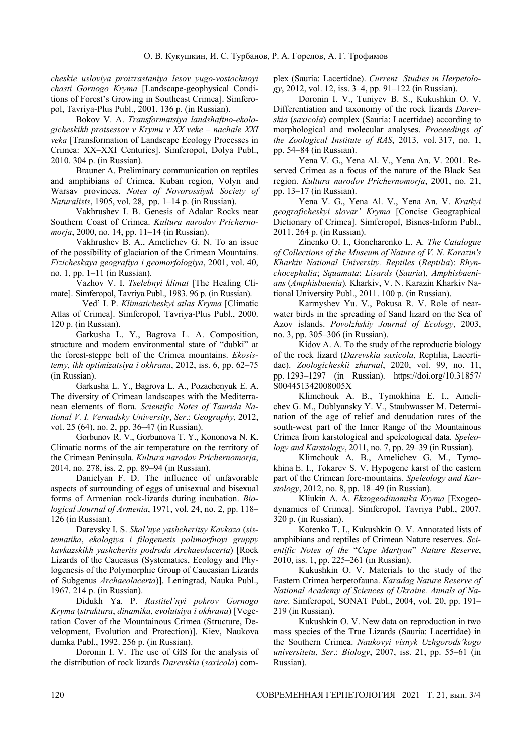*cheskie usloviya proizrastaniya lesov yugo-vostochnoyi chasti Gornogo Kryma* [Landscape-geophysical Conditions of Forest's Growing in Southeast Crimea]. Simferopol, Tavriya-Plus Publ., 2001. 136 p. (in Russian).

Bokov V. A. *Transformatsiya landshaftno-ekologicheskikh protsessov v Krymu v XX veke – nachale XXI veka* [Transformation of Landscape Ecology Processes in Crimea: XX–XXI Centuries]. Simferopol, Dolya Publ., 2010. 304 p. (in Russian).

Brauner А. Preliminary communication on reptiles and amphibians of Crimea, Kuban region, Volyn and Warsav provinces. *Notes of Novorossiysk Society of Naturalists*, 1905, vol. 28, pp. 1–14 p. (in Russian).

Vakhrushev I. B. Genesis of Adalar Rocks near Southern Coast of Crimea. *Kultura narodov Prichernomorja*, 2000, no. 14, pp. 11–14 (in Russian).

Vakhrushev B. A., Amelichev G. N. To an issue of the possibility of glaciation of the Crimean Mountains. *Fizicheskaya geografiya i geomorfologiya*, 2001, vol. 40, no. 1, pp. 1–11 (in Russian).

Vazhov V. I. *Tselebnyi klimat* [The Healing Climate]. Simferopol, Tavriya Publ., 1983. 96 p. (in Russian).

Ved' I. P. *Klimaticheskyi atlas Kryma* [Climatic Atlas of Crimea]. Simferopol, Tavriya-Plus Publ., 2000. 120 p. (in Russian).

Garkusha L. Y., Bagrova L. A. Composition, structure and modern environmental state of "dubki" at the forest-steppe belt of the Crimea mountains. *Ekosistemy*, *ikh optimizatsiya i okhrana*, 2012, iss. 6, pp. 62–75 (in Russian).

Garkusha L. Y., Bagrova L. A., Pozachenyuk E. A. The diversity of Crimean landscapes with the Mediterranean elements of flora. *Scientific Notes of Taurida National V. I. Vernadsky University*, *Ser*.: *Geography*, 2012, vol. 25 (64), no. 2, pp. 36–47 (in Russian).

Gorbunov R. V., Gorbunova T. Y., Kononova N. K. Climatic norms of the air temperature on the territory of the Crimean Peninsula. *Kultura narodov Prichernomorja*, 2014, no. 278, iss. 2, pp. 89–94 (in Russian).

Danielyan F. D. The influence of unfavorable aspects of surrounding of eggs of unisexual and bisexual forms of Armenian rock-lizards during incubation. *Biological Journal of Armenia*, 1971, vol. 24, no. 2, pp. 118– 126 (in Russian).

Darevsky I. S. *Skal'nye yashcheritsy Kavkaza* (*sistematika*, *ekologiya i filogenezis polimorfnoyi gruppy kavkazskikh yashcherits podroda Archaeolacerta*) [Rock Lizards of the Caucasus (Systematics, Ecology and Phylogenesis of the Polymorphic Group of Caucasian Lizards of Subgenus *Archaeolacerta*)]. Leningrad, Nauka Publ., 1967. 214 p. (in Russian).

Didukh Ya. P. *Rastitel'nyi pokrov Gornogo Kryma* (*struktura*, *dinamika*, *evolutsiya i okhrana*) [Vegetation Cover of the Mountainous Crimea (Structure, Development, Evolution and Protection)]. Kiev, Naukova dumka Publ., 1992. 256 p. (in Russian).

Doronin I. V. The use of GIS for the analysis of the distribution of rock lizards *Darevskia* (*saxicola*) complex (Sauria: Lacertidae). *Current Studies in Herpetology*, 2012, vol. 12, iss. 3–4, pp. 91–122 (in Russian).

Doronin I. V., Tuniyev B. S., Kukushkin O. V. Differentiation and taxonomy of the rock lizards *Darevskia* (*saxicola*) complex (Sauria: Lacertidae) according to morphological and molecular analyses. *Proceedings of the Zoological Institute of RAS*, 2013, vol. 317, no. 1, pp. 54–84 (in Russian).

Yena V. G., Yena Al. V., Yena An. V. 2001. Reserved Crimea as a focus of the nature of the Black Sea region. *Kultura narodov Prichernomorja*, 2001, no. 21, pp. 13–17 (in Russian).

Yena V. G., Yena Al. V., Yena An. V. *Kratkyi geograficheskyi slovar' Kryma* [Concise Geographical Dictionary of Crimea]. Simferopol, Bisnes-Inform Publ., 2011. 264 p. (in Russian).

Zinenko O. I., Goncharenko L. A*. The Catalogue of Collections of the Museum of Nature of V. N. Karazin's Kharkiv National University. Reptiles* (*Reptilia*): *Rhynchocephalia*; *Squamata*: *Lisards* (*Sauria*), *Amphisbaenians* (*Amphisbaenia*)*.* Kharkiv, V. N. Karazin Kharkiv National University Publ., 2011. 100 p. (in Russian).

Karmyshev Yu. V., Pokusa R. V. Role of nearwater birds in the spreading of Sand lizard on the Sea of Azov islands. *Povolzhskiy Journal of Ecology*, 2003, no. 3, pp. 305–306 (in Russian).

Kidov A. A. To the study of the reproductie biology of the rock lizard (*Darevskia saxicola*, Reptilia, Lacertidae). *Zoologicheskii zhurnal*, 2020, vol. 99, no. 11, pp. 1293–1297 (in Russian). https://doi.org/10.31857/ S004451342008005X

Klimchouk A. B., Tymokhina Е. І., Amelichev G. M., Dublyansky Y. V., Staubwasser M. Determination of the age of relief and denudation rates of the south-west part of the Inner Range of the Mountainous Crimea from karstological and speleological data. *Speleology and Karstology*, 2011, no. 7, pp. 29–39 (in Russian).

Klimchouk A. B., Amelichev G. M., Tymokhina Е. І., Tokarev S. V. Hypogene karst of the eastern part of the Crimean fore-mountains. *Speleology and Karstology*, 2012, no. 8, pp. 18–49 (in Russian).

Kliukin A. A. *Ekzogeodinamika Kryma* [Exogeodynamics of Crimea]. Simferopol, Tavriya Publ., 2007. 320 p. (in Russian).

Kotenko T. I., Kukushkin O. V. Annotated lists of amphibians and reptiles of Crimean Nature reserves. *Scientific Notes of the* "*Cape Martyan*" *Nature Reserve*, 2010, iss. 1, pp. 225–261 (in Russian).

Kukushkin O. V. Materials to the study of the Eastern Crimea herpetofauna. *Karadag Nature Reserve of National Academy of Sciences of Ukraine. Annals of Nature*. Simferopol, SONAT Publ., 2004, vol. 20, pp. 191– 219 (in Russian).

Kukushkin O. V. New data on reproduction in two mass species of the True Lizards (Sauria: Lacertidae) in the Southern Crimea. *Naukovyi visnyk Uzhgorods'kogo universitetu*, *Ser*.: *Biology*, 2007, iss. 21, pp. 55–61 (in Russian).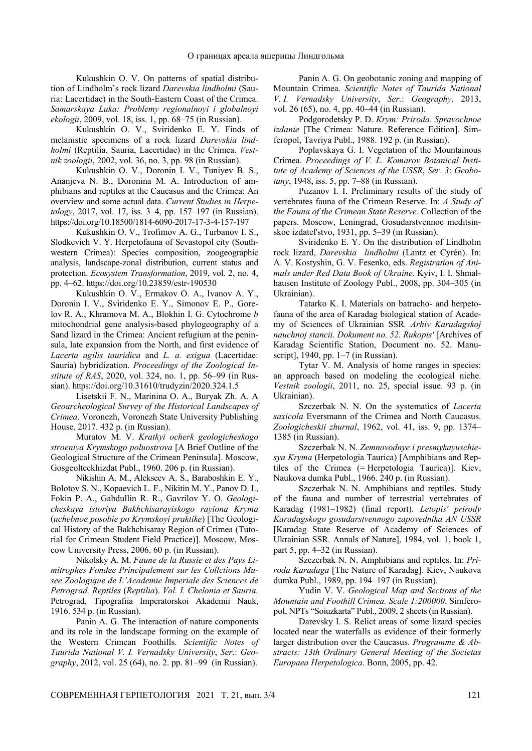Kukushkin O. V. On patterns of spatial distribution of Lindholm's rock lizard *Darevskia lindholmi* (Sauria: Lacertidae) in the South-Eastern Coast of the Crimea. *Samarskaya Luka: Problemy regionalnoyi i globalnoyi ekologii*, 2009, vol. 18, iss. 1, pp. 68–75 (in Russian).

Kukushkin O. V., Sviridenko E. Y. Finds of melanistic specimens of a rock lizard *Darevskia lindholmi* (Reptilia, Sauria, Lacertidae) in the Crimea. *Vestnik zoologii*, 2002, vol. 36, no. 3, pp. 98 (in Russian).

Kukushkin O. V., Doronin I. V., Tuniyev B. S., Ananjeva N. B., Doronina M. A. Introduction of amphibians and reptiles at the Caucasus and the Crimea: An overview and some actual data. *Current Studies in Herpetology*, 2017, vol. 17, iss. 3–4, pp. 157–197 (in Russian). https://doi.org/10.18500/1814-6090-2017-17-3-4-157-197

Kukushkin O. V., Trofimov A. G., Turbanov I. S., Slodkevich V. Y. Herpetofauna of Sevastopol city (Southwestern Crimea): Species composition, zoogeographic analysis, landscape-zonal distribution, current status and protection. *Ecosystem Transformation*, 2019, vol. 2, no. 4, pp. 4–62. https://doi.org/10.23859/estr-190530

Kukushkin O. V., Ermakov O. A., Ivanov A. Y., Doronin I. V., Sviridenko E. Y., Simonov E. P., Gorelov R. A., Khramova M. A., Blokhin I. G. Cytochrome *b* mitochondrial gene analysis-based phylogeography of a Sand lizard in the Crimea: Ancient refugium at the peninsula, late expansion from the North, and first evidence of *Lacerta agilis tauridica* and *L. a. exigua* (Lacertidae: Sauria) hybridization. *Proceedings of the Zoological Institute of RAS*, 2020, vol. 324, no. 1, pp. 56–99 (in Russian). https://doi.org/10.31610/trudyzin/2020.324.1.5

Lisetskii F. N., Marinina O. A., Buryak Zh. A. A *Geoarcheological Survey of the Historical Landscapes of Crimea*. Voronezh, Voronezh State University Publishing House, 2017. 432 p. (in Russian).

Muratov M. V. *Kratkyi ocherk geologicheskogo stroeniya Krymskogo poluostrova* [A Brief Outline of the Geological Structure of the Crimean Peninsula]. Moscow, Gosgeolteckhizdat Publ., 1960. 206 p. (in Russian).

Nikishin A. M., Alekseev A. S., Baraboshkin E. Y., Bolotov S. N., Kopaevich L. F., Nikitin M. Y., Panov D. I., Fokin P. A., Gabdullin R. R., Gavrilov Y. O. *Geologicheskaya istoriya Bakhchisarayiskogo rayiona Kryma*  (*uchebnoe posobie po Krymskoyi praktike*) [The Geological History of the Bakhchisaray Region of Crimea (Tutorial for Crimean Student Field Practice)]. Moscow, Moscow University Press, 2006. 60 p. (in Russian).

Nikolsky A. M. *Faune de la Russie et des Pays Limitrophes Fondee Principalement sur les Collctions Musee Zoologique de L'Academie Imperiale des Sciences de Petrograd. Reptiles* (*Reptilia*). *Vol. I. Chelonia et Sauria.* Petrograd, Tipografiia Imperatorskoi Akademii Nauk, 1916. 534 p. (in Russian).

Panin A. G. The interaction of nature components and its role in the landscape forming on the example of the Western Crimean Foothills. *Scientific Notes of Taurida National V. I. Vernadsky University*, *Ser*.: *Geography*, 2012, vol. 25 (64), no. 2. pp. 81–99 (in Russian).

Panin A. G. On geobotanic zoning and mapping of Mountain Crimea. *Scientific Notes of Taurida National V. I. Vernadsky University*, *Ser.*: *Geography*, 2013, vol. 26 (65), no. 4, pp. 40–44 (in Russian).

Podgorodetsky P. D. *Krym: Priroda. Spravochnoe izdanie* [The Crimea: Nature. Reference Edition]. Simferopol, Tavriya Publ., 1988. 192 p. (in Russian).

Poplavskaya G. I. Vegetation of the Mountainous Crimea. *Proceedings of V. L. Komarov Botanical Institute of Academy of Sciences of the USSR*, *Ser. 3*: *Geobotany*, 1948, iss. 5, pp. 7–88 (in Russian).

Puzanov I. I. Preliminary results of the study of vertebrates fauna of the Crimean Reserve. In: *A Study of the Fauna of the Crimean State Reserve.* Collection of the papers. Moscow, Leningrad, Gosudarstvennoe meditsinskoe izdatel'stvo, 1931, pp. 5–39 (in Russian).

Sviridenko E. Y. On the distribution of Lindholm rock lizard, *Darevskia lindholmi* (Lantz et Cyrén). In: A. V. Kostyshin, G. V. Fesenko, eds. *Registration of Animals under Red Data Book of Ukraine*. Kyiv, I. I. Shmalhausen Institute of Zoology Publ., 2008, pp. 304–305 (in Ukrainian).

Tatarko K. I. Materials on batracho- and herpetofauna of the area of Karadag biological station of Academy of Sciences of Ukrainian SSR*. Arhiv Karadagskoj nauchnoj stancii. Dokument no. 52*. *Rukopis'* [Archives of Karadag Scientific Station, Document no. 52. Manuscript], 1940, pp. 1–7 (in Russian).

Tytar V. M. Analysis of home ranges in species: an approach based on modeling the ecological niche. *Vestnik zoologii*, 2011, no. 25, special issue. 93 p. (in Ukrainian).

Szczerbak N. N. On the systematics of *Lacerta saxicola* Eversmann of the Crimea and North Caucasus. *Zoologicheskii zhurnal*, 1962, vol. 41, iss. 9, pp. 1374– 1385 (in Russian).

Szczerbak N. N. *Zemnovodnye i presmykayuschiesya Kryma* (Herpetologia Taurica) [Amphibians and Reptiles of the Crimea (= Herpetologia Taurica)]. Kiev, Naukova dumka Publ., 1966. 240 p. (in Russian).

Szczerbak N. N. Amphibians and reptiles. Study of the fauna and number of terrestrial vertebrates of Karadag (1981–1982) (final report). *Letopis' prirody Karadagskogo gosudarstvennogo zapovednika AN USSR* [Karadag State Reserve of Academy of Sciences of Ukrainian SSR. Annals of Nature], 1984, vol. 1, book 1, part 5, pp. 4–32 (in Russian).

Szczerbak N. N. Amphibians and reptiles. In: *Priroda Karadaga* [The Nature of Karadag]. Kiev, Naukova dumka Publ., 1989, pp. 194–197 (in Russian).

Yudin V. V. *Geological Map and Sections of the Mountain and Foothill Crimea. Scale 1:200000*. Simferopol, NPTs "Soiuzkarta" Publ., 2009, 2 sheets (in Russian).

Darevsky I. S. Relict areas of some lizard species located near the waterfalls as evidence of their formerly larger distribution over the Caucasus. *Programme & Abstracts: 13th Ordinary General Meeting of the Societas Europaea Herpetologica*. Bonn, 2005, pp. 42.